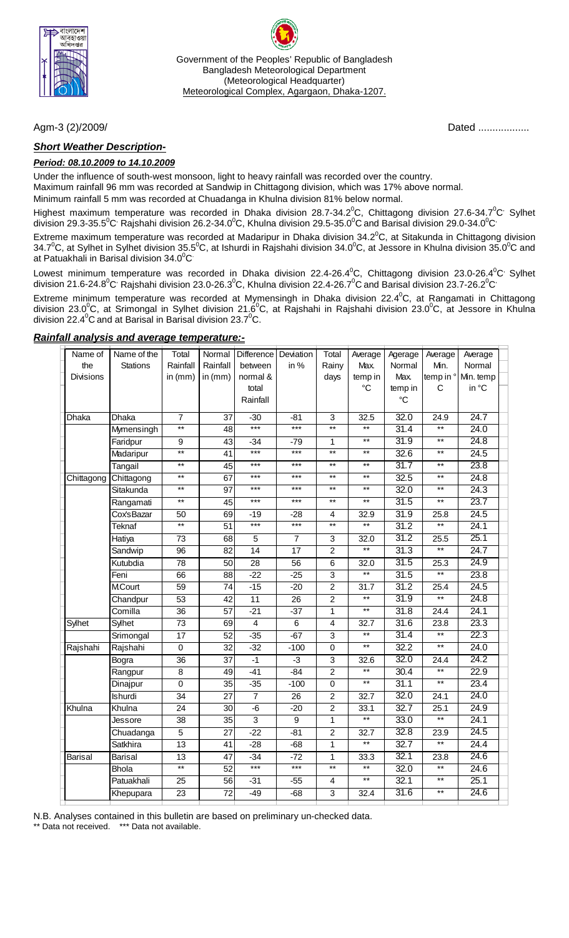

Government of the Peoples' Republic of Bangladesh Bangladesh Meteorological Department (Meteorological Headquarter) Meteorological Complex, Agargaon, Dhaka-1207.

### *Short Weather Description-*

#### *Period: 08.10.2009 to 14.10.2009*

Under the influence of south-west monsoon, light to heavy rainfall was recorded over the country. Maximum rainfall 96 mm was recorded at Sandwip in Chittagong division, which was 17% above normal.

Minimum rainfall 5 mm was recorded at Chuadanga in Khulna division 81% below normal.

Highest maximum temperature was recorded in Dhaka division 28.7-34.2 $^0$ C, Chittagong division 27.6-34.7 $^0$ C' Sylhet division 29.3-35.5 $^0$ C<sup>,</sup> Rajshahi division 26.2-34.0 $^0$ C, Khulna division 29.5-35.0 $^0$ C and Barisal division 29.0-34.0 $^0$ C $^{\circ}$ 

Extreme maximum temperature was recorded at Madaripur in Dhaka division 34.2 $^0$ C, at Sitakunda in Chittagong division 34.7<sup>0</sup>C, at Sylhet in Sylhet division 35.5<sup>0</sup>C, at Ishurdi in Rajshahi division 34.0<sup>0</sup>C, at Jessore in Khulna division 35.0<sup>0</sup>C and at Patuakhali in Barisal division 34.0 $\mathrm{^0C}$ 

Lowest minimum temperature was recorded in Dhaka division 22.4-26.4 $^0$ C, Chittagong division 23.0-26.4 $^0$ C' Sylhet division 21.6-24.8<sup>0</sup>C<sup>,</sup> Rajshahi division 23.0-26.3<sup>0</sup>C, Khulna division 22.4-26.7<sup>0</sup>C and Barisal division 23.7-26.2<sup>0</sup>C<sup>,</sup>

Extreme minimum temperature was recorded at Mymensingh in Dhaka division 22.4 $\rm ^{0}C_{2}$  at Rangamati in Chittagong division 23.0<sup>0</sup>C, at Srimongal in Sylhet division 21.6<sup>0</sup>C, at Rajshahi in Rajshahi division 23.0<sup>0</sup>C, at Jessore in Khulna division 22.4 $\mathrm{^0C}$  and at Barisal in Barisal division 23.7 $\mathrm{^0C}$ .

| Name of          | Name of the     | Total           | Normal          | Difference Deviation    |                  | Total                     | Average                  | Agerage         | Average           | Average   |  |
|------------------|-----------------|-----------------|-----------------|-------------------------|------------------|---------------------------|--------------------------|-----------------|-------------------|-----------|--|
| the              | <b>Stations</b> | Rainfall        | Rainfall        | between                 | in $%$           | Rainy                     | Max.                     | Normal          | Min.              | Normal    |  |
| <b>Divisions</b> |                 | in $(mm)$       | in $(mm)$       | normal &                |                  | days                      | temp in                  | Max.            | temp in °         | Min. temp |  |
|                  |                 |                 |                 | total                   |                  |                           | $\rm ^{\circ}C$          | temp in         | C                 | in °C     |  |
|                  |                 |                 |                 | Rainfall                |                  |                           |                          | $\rm ^{\circ}C$ |                   |           |  |
| Dhaka            | Dhaka           | $\overline{7}$  | 37              | $-30$                   | $-81$            | 3                         | 32.5                     | 32.0            | 24.9              | 24.7      |  |
|                  | Mymensingh      | $**$            | 48              | $***$                   | $***$            | $**$                      | $**$                     | 31.4            | $***$             | 24.0      |  |
|                  | Faridpur        | 9               | 43              | $-34$                   | -79              | 1                         | $**$                     | 31.9            | $\star\star$      | 24.8      |  |
|                  | Madaripur       | $\overline{}$   | $\overline{41}$ | $***$                   | $***$            | $\overline{**}$           | $***$                    | 32.6            | $**$              | 24.5      |  |
|                  | Tangail         | $**$            | 45              | $***$                   | $***$            | $**$                      | $\overline{**}$          | 31.7            | $**$              | 23.8      |  |
| Chittagong       | Chittagong      | $\star\star$    | 67              | $***$                   | $***$            | $**$                      | $**$                     | 32.5            | $\star\star$      | 24.8      |  |
|                  | Sitakunda       | $***$           | $\overline{97}$ | $***$                   | $***$            | $***$                     | $**$                     | 32.0            | $**$              | 24.3      |  |
|                  | Rangamati       | $***$           | 45              | $***$                   | $***$            | $***$                     | $^{\star\star}$          | 31.5            | $***$             | 23.7      |  |
|                  | Cox'sBazar      | 50              | 69              | -19                     | $-28$            | 4                         | 32.9                     | 31.9            | 25.8              | 24.5      |  |
|                  | Teknaf          | $\overline{**}$ | $\overline{51}$ | $***$                   | $***$            | $*$                       | $***$                    | 31.2            | $**$              | 24.1      |  |
|                  | Hatiya          | $\overline{73}$ | 68              | $\overline{5}$          | $\overline{7}$   | $\overline{3}$            | 32.0                     | 31.2            | 25.5              | 25.1      |  |
|                  | Sandwip         | 96              | $\overline{82}$ | 14                      | 17               | $\overline{2}$            | $\overline{**}$          | 31.3            | $**$              | 24.7      |  |
|                  | Kutubdia        | 78              | 50              | $\overline{28}$         | $\overline{56}$  | 6                         | 32.0                     | 31.5            | 25.3              | 24.9      |  |
|                  | Feni            | 66              | 88              | $-22$                   | $-25$            | $\ensuremath{\mathsf{3}}$ | $**$                     | 31.5            | $^{\star\star}$   | 23.8      |  |
|                  | <b>M.Court</b>  | 59              | 74              | $-15$                   | $-20$            | $\overline{2}$            | 31.7                     | 31.2            | 25.4              | 24.5      |  |
|                  | Chandpur        | $\overline{53}$ | $\overline{42}$ | 11                      | $\overline{26}$  | $\overline{2}$            | $\overline{\phantom{1}}$ | 31.9            | $**$              | 24.8      |  |
|                  | Comilla         | $\overline{36}$ | $\overline{57}$ | $-21$                   | $-37$            | $\mathbf{1}$              | $\overline{**}$          | 31.8            | 24.4              | 24.1      |  |
| Sylhet           | Sylhet          | 73              | 69              | $\overline{\mathbf{4}}$ | $\,6$            | $\overline{\mathbf{4}}$   | 32.7                     | 31.6            | 23.8              | 23.3      |  |
|                  | Srimongal       | $\overline{17}$ | 52              | $-35$                   | $-67$            | $\overline{3}$            | $\overline{**}$          | 31.4            | $\overline{**}$   | 22.3      |  |
| Rajshahi         | Rajshahi        | $\mathbf 0$     | $\overline{32}$ | $-32$                   | $-100$           | $\pmb{0}$                 | $\overline{**}$          | 32.2            | $\overline{**}$   | 24.0      |  |
|                  | Bogra           | $\overline{36}$ | $\overline{37}$ | $-1$                    | $-3$             | $\ensuremath{\mathsf{3}}$ | 32.6                     | 32.0            | $\overline{2}4.4$ | 24.2      |  |
|                  | Rangpur         | $\overline{8}$  | 49              | $-41$                   | $-84$            | $\overline{2}$            | $\overline{\phantom{1}}$ | 30.4            | $**$              | 22.9      |  |
|                  | Dinajpur        | $\overline{0}$  | $\overline{35}$ | $-35$                   | $-100$           | $\overline{0}$            | $\overline{**}$          | 31.1            | $\overline{**}$   | 23.4      |  |
|                  | Ishurdi         | 34              | 27              | $\overline{7}$          | 26               | $\overline{c}$            | 32.7                     | 32.0            | 24.1              | 24.0      |  |
| Khulna           | Khulna          | $\overline{24}$ | $\overline{30}$ | $-6$                    | $-20$            | $\overline{2}$            | 33.1                     | 32.7            | 25.1              | 24.9      |  |
|                  | Jessore         | 38              | $\overline{35}$ | $\overline{3}$          | $\boldsymbol{9}$ | 1                         | $\overline{**}$          | 33.0            | $**$              | 24.1      |  |
|                  | Chuadanga       | $\overline{5}$  | $\overline{27}$ | $-22$                   | $-81$            | $\overline{2}$            | 32.7                     | 32.8            | 23.9              | 24.5      |  |
|                  | Satkhira        | 13              | 41              | $-28$                   | $-68$            | 1                         | $\overline{**}$          | 32.7            | $\star\star$      | 24.4      |  |
| <b>Barisal</b>   | <b>Barisal</b>  | $\overline{13}$ | $\overline{47}$ | $-34$                   | $-72$            | 1                         | 33.3                     | 32.1            | 23.8              | 24.6      |  |
|                  | <b>Bhola</b>    | $\overline{**}$ | $\overline{52}$ | $***$                   | $***$            | $\overline{**}$           | $\overline{**}$          | 32.0            | $\overline{**}$   | 24.6      |  |
|                  | Patuakhali      | $\overline{25}$ | $\overline{56}$ | $-31$                   | $-55$            | $\overline{\mathbf{4}}$   | $\overline{**}$          | 32.1            | $**$              | 25.1      |  |
|                  | Khepupara       | 23              | 72              | $-49$                   | $-68$            | 3                         | 32.4                     | 31.6            | $***$             | 24.6      |  |
|                  |                 |                 |                 |                         |                  |                           |                          |                 |                   |           |  |

#### *Rainfall analysis and average temperature:-*

N.B. Analyses contained in this bulletin are based on preliminary un-checked data.

\*\* Data not received. \*\*\* Data not available.

Agm-3 (2)/2009/ Dated ..................